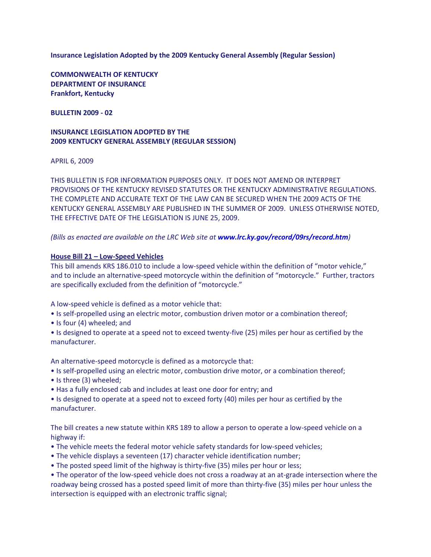**Insurance Legislation Adopted by the 2009 Kentucky General Assembly (Regular Session)**

**COMMONWEALTH OF KENTUCKY DEPARTMENT OF INSURANCE Frankfort, Kentucky**

**BULLETIN 2009 - 02**

## **INSURANCE LEGISLATION ADOPTED BY THE 2009 KENTUCKY GENERAL ASSEMBLY (REGULAR SESSION)**

APRIL 6, 2009

THIS BULLETIN IS FOR INFORMATION PURPOSES ONLY. IT DOES NOT AMEND OR INTERPRET PROVISIONS OF THE KENTUCKY REVISED STATUTES OR THE KENTUCKY ADMINISTRATIVE REGULATIONS. THE COMPLETE AND ACCURATE TEXT OF THE LAW CAN BE SECURED WHEN THE 2009 ACTS OF THE KENTUCKY GENERAL ASSEMBLY ARE PUBLISHED IN THE SUMMER OF 2009. UNLESS OTHERWISE NOTED, THE EFFECTIVE DATE OF THE LEGISLATION IS JUNE 25, 2009.

### *(Bills as enacted are available on the LRC Web site at [www.lrc.ky.gov/record/09rs/record.htm](http://www.lrc.ky.gov/record/09rs/record.htm))*

#### **House Bill 21 – Low-Speed Vehicles**

This bill amends KRS 186.010 to include a low-speed vehicle within the definition of "motor vehicle," and to include an alternative-speed motorcycle within the definition of "motorcycle." Further, tractors are specifically excluded from the definition of "motorcycle."

A low-speed vehicle is defined as a motor vehicle that:

- Is self-propelled using an electric motor, combustion driven motor or a combination thereof;
- Is four (4) wheeled; and
- Is designed to operate at a speed not to exceed twenty-five (25) miles per hour as certified by the manufacturer.

An alternative-speed motorcycle is defined as a motorcycle that:

- Is self-propelled using an electric motor, combustion drive motor, or a combination thereof;
- Is three (3) wheeled;
- Has a fully enclosed cab and includes at least one door for entry; and
- Is designed to operate at a speed not to exceed forty (40) miles per hour as certified by the manufacturer.

The bill creates a new statute within KRS 189 to allow a person to operate a low-speed vehicle on a highway if:

- The vehicle meets the federal motor vehicle safety standards for low-speed vehicles;
- The vehicle displays a seventeen (17) character vehicle identification number;
- The posted speed limit of the highway is thirty-five (35) miles per hour or less;
- The operator of the low-speed vehicle does not cross a roadway at an at-grade intersection where the roadway being crossed has a posted speed limit of more than thirty-five (35) miles per hour unless the intersection is equipped with an electronic traffic signal;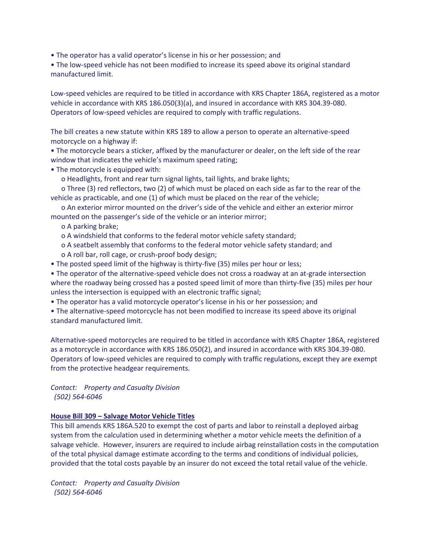• The operator has a valid operator's license in his or her possession; and

• The low-speed vehicle has not been modified to increase its speed above its original standard manufactured limit.

Low-speed vehicles are required to be titled in accordance with KRS Chapter 186A, registered as a motor vehicle in accordance with KRS 186.050(3)(a), and insured in accordance with KRS 304.39-080. Operators of low-speed vehicles are required to comply with traffic regulations.

The bill creates a new statute within KRS 189 to allow a person to operate an alternative-speed motorcycle on a highway if:

• The motorcycle bears a sticker, affixed by the manufacturer or dealer, on the left side of the rear window that indicates the vehicle's maximum speed rating;

• The motorcycle is equipped with:

o Headlights, front and rear turn signal lights, tail lights, and brake lights;

 o Three (3) red reflectors, two (2) of which must be placed on each side as far to the rear of the vehicle as practicable, and one (1) of which must be placed on the rear of the vehicle;

 o An exterior mirror mounted on the driver's side of the vehicle and either an exterior mirror mounted on the passenger's side of the vehicle or an interior mirror;

o A parking brake;

o A windshield that conforms to the federal motor vehicle safety standard;

- o A seatbelt assembly that conforms to the federal motor vehicle safety standard; and
- o A roll bar, roll cage, or crush-proof body design;

• The posted speed limit of the highway is thirty-five (35) miles per hour or less;

• The operator of the alternative-speed vehicle does not cross a roadway at an at-grade intersection where the roadway being crossed has a posted speed limit of more than thirty-five (35) miles per hour unless the intersection is equipped with an electronic traffic signal;

• The operator has a valid motorcycle operator's license in his or her possession; and

• The alternative-speed motorcycle has not been modified to increase its speed above its original standard manufactured limit.

Alternative-speed motorcycles are required to be titled in accordance with KRS Chapter 186A, registered as a motorcycle in accordance with KRS 186.050(2), and insured in accordance with KRS 304.39-080. Operators of low-speed vehicles are required to comply with traffic regulations, except they are exempt from the protective headgear requirements.

*Contact: Property and Casualty Division (502) 564-6046*

### **House Bill 309 – Salvage Motor Vehicle Titles**

This bill amends KRS 186A.520 to exempt the cost of parts and labor to reinstall a deployed airbag system from the calculation used in determining whether a motor vehicle meets the definition of a salvage vehicle. However, insurers are required to include airbag reinstallation costs in the computation of the total physical damage estimate according to the terms and conditions of individual policies, provided that the total costs payable by an insurer do not exceed the total retail value of the vehicle.

*Contact: Property and Casualty Division (502) 564-6046*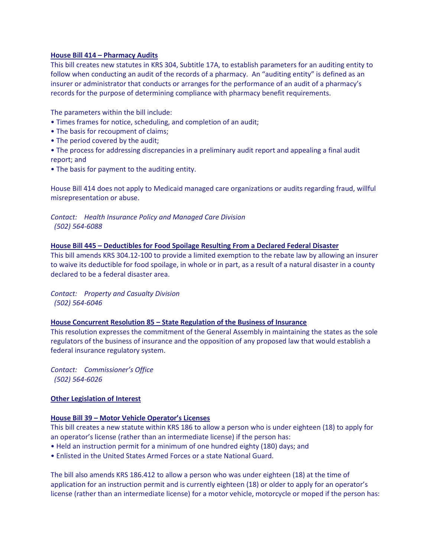### **House Bill 414 – Pharmacy Audits**

This bill creates new statutes in KRS 304, Subtitle 17A, to establish parameters for an auditing entity to follow when conducting an audit of the records of a pharmacy. An "auditing entity" is defined as an insurer or administrator that conducts or arranges for the performance of an audit of a pharmacy's records for the purpose of determining compliance with pharmacy benefit requirements.

The parameters within the bill include:

- Times frames for notice, scheduling, and completion of an audit;
- The basis for recoupment of claims;
- The period covered by the audit;
- The process for addressing discrepancies in a preliminary audit report and appealing a final audit report; and
- The basis for payment to the auditing entity.

House Bill 414 does not apply to Medicaid managed care organizations or audits regarding fraud, willful misrepresentation or abuse.

## *Contact: Health Insurance Policy and Managed Care Division (502) 564-6088*

### **House Bill 445 – Deductibles for Food Spoilage Resulting From a Declared Federal Disaster**

This bill amends KRS 304.12-100 to provide a limited exemption to the rebate law by allowing an insurer to waive its deductible for food spoilage, in whole or in part, as a result of a natural disaster in a county declared to be a federal disaster area.

*Contact: Property and Casualty Division (502) 564-6046*

### **House Concurrent Resolution 85 – State Regulation of the Business of Insurance**

This resolution expresses the commitment of the General Assembly in maintaining the states as the sole regulators of the business of insurance and the opposition of any proposed law that would establish a federal insurance regulatory system.

*Contact: Commissioner's Office (502) 564-6026*

## **Other Legislation of Interest**

## **House Bill 39 – Motor Vehicle Operator's Licenses**

This bill creates a new statute within KRS 186 to allow a person who is under eighteen (18) to apply for an operator's license (rather than an intermediate license) if the person has:

- Held an instruction permit for a minimum of one hundred eighty (180) days; and
- Enlisted in the United States Armed Forces or a state National Guard.

The bill also amends KRS 186.412 to allow a person who was under eighteen (18) at the time of application for an instruction permit and is currently eighteen (18) or older to apply for an operator's license (rather than an intermediate license) for a motor vehicle, motorcycle or moped if the person has: